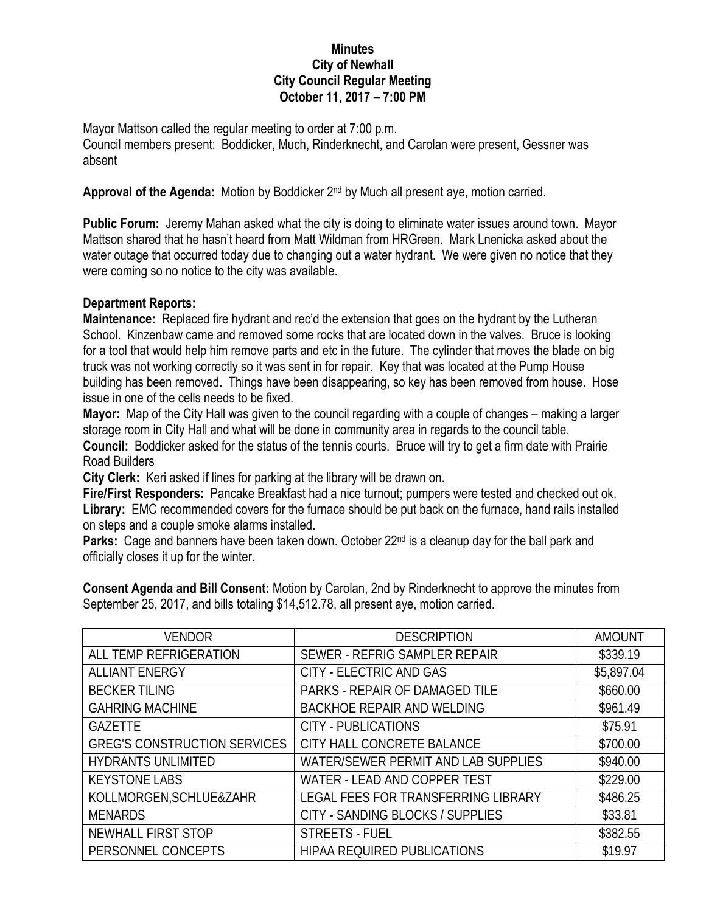## **Minutes City of Newhall City Council Regular Meeting October 11, 2017 – 7:00 PM**

Mayor Mattson called the regular meeting to order at 7:00 p.m. Council members present: Boddicker, Much, Rinderknecht, and Carolan were present, Gessner was absent

Approval of the Agenda: Motion by Boddicker 2<sup>nd</sup> by Much all present aye, motion carried.

**Public Forum:** Jeremy Mahan asked what the city is doing to eliminate water issues around town. Mayor Mattson shared that he hasn't heard from Matt Wildman from HRGreen. Mark Lnenicka asked about the water outage that occurred today due to changing out a water hydrant. We were given no notice that they were coming so no notice to the city was available.

## **Department Reports:**

**Maintenance:** Replaced fire hydrant and rec'd the extension that goes on the hydrant by the Lutheran School. Kinzenbaw came and removed some rocks that are located down in the valves. Bruce is looking for a tool that would help him remove parts and etc in the future. The cylinder that moves the blade on big truck was not working correctly so it was sent in for repair. Key that was located at the Pump House building has been removed. Things have been disappearing, so key has been removed from house. Hose issue in one of the cells needs to be fixed.

**Mayor:** Map of the City Hall was given to the council regarding with a couple of changes – making a larger storage room in City Hall and what will be done in community area in regards to the council table.

**Council:** Boddicker asked for the status of the tennis courts. Bruce will try to get a firm date with Prairie Road Builders

**City Clerk:** Keri asked if lines for parking at the library will be drawn on.

**Fire/First Responders:** Pancake Breakfast had a nice turnout; pumpers were tested and checked out ok. **Library:** EMC recommended covers for the furnace should be put back on the furnace, hand rails installed on steps and a couple smoke alarms installed.

**Parks:** Cage and banners have been taken down. October 22<sup>nd</sup> is a cleanup day for the ball park and officially closes it up for the winter.

**Consent Agenda and Bill Consent:** Motion by Carolan, 2nd by Rinderknecht to approve the minutes from September 25, 2017, and bills totaling \$14,512.78, all present aye, motion carried.

| <b>VENDOR</b>                       | <b>DESCRIPTION</b>                         | <b>AMOUNT</b> |
|-------------------------------------|--------------------------------------------|---------------|
| ALL TEMP REFRIGERATION              | SEWER - REFRIG SAMPLER REPAIR              | \$339.19      |
| <b>ALLIANT ENERGY</b>               | <b>CITY - ELECTRIC AND GAS</b>             | \$5,897.04    |
| <b>BECKER TILING</b>                | PARKS - REPAIR OF DAMAGED TILE             | \$660.00      |
| <b>GAHRING MACHINE</b>              | <b>BACKHOE REPAIR AND WELDING</b>          | \$961.49      |
| <b>GAZETTE</b>                      | <b>CITY - PUBLICATIONS</b>                 | \$75.91       |
| <b>GREG'S CONSTRUCTION SERVICES</b> | CITY HALL CONCRETE BALANCE                 | \$700.00      |
| <b>HYDRANTS UNLIMITED</b>           | <b>WATER/SEWER PERMIT AND LAB SUPPLIES</b> | \$940.00      |
| <b>KEYSTONE LABS</b>                | WATER - LEAD AND COPPER TEST               | \$229.00      |
| KOLLMORGEN, SCHLUE&ZAHR             | LEGAL FEES FOR TRANSFERRING LIBRARY        | \$486.25      |
| <b>MENARDS</b>                      | CITY - SANDING BLOCKS / SUPPLIES           | \$33.81       |
| NEWHALL FIRST STOP                  | <b>STREETS - FUEL</b>                      | \$382.55      |
| PERSONNEL CONCEPTS                  | HIPAA REQUIRED PUBLICATIONS                | \$19.97       |